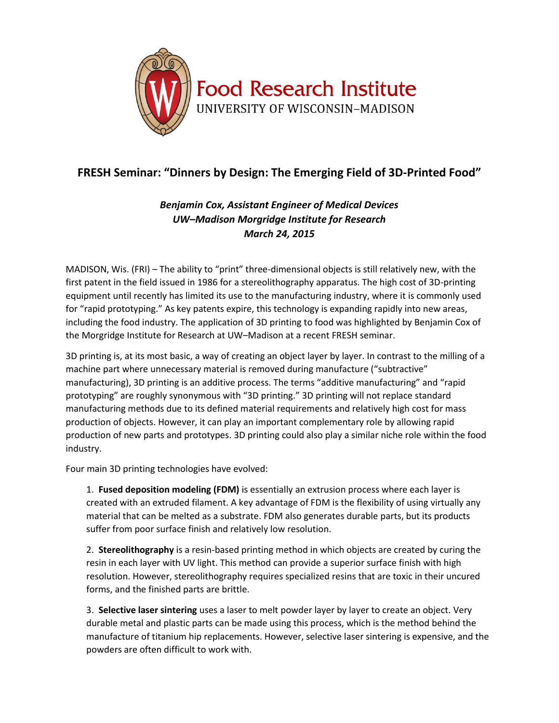

## **FRESH Seminar: "Dinners by Design: The Emerging Field of 3D-Printed Food"**

## *Benjamin Cox, Assistant Engineer of Medical Devices UW–Madison Morgridge Institute for Research March 24, 2015*

MADISON, Wis. (FRI) – The ability to "print" three-dimensional objects is still relatively new, with the first patent in the field issued in 1986 for a stereolithography apparatus. The high cost of 3D-printing equipment until recently has limited its use to the manufacturing industry, where it is commonly used for "rapid prototyping." As key patents expire, this technology is expanding rapidly into new areas, including the food industry. The application of 3D printing to food was highlighted by Benjamin Cox of the Morgridge Institute for Research at UW–Madison at a recent FRESH seminar.

3D printing is, at its most basic, a way of creating an object layer by layer. In contrast to the milling of a machine part where unnecessary material is removed during manufacture ("subtractive" manufacturing), 3D printing is an additive process. The terms "additive manufacturing" and "rapid prototyping" are roughly synonymous with "3D printing." 3D printing will not replace standard manufacturing methods due to its defined material requirements and relatively high cost for mass production of objects. However, it can play an important complementary role by allowing rapid production of new parts and prototypes. 3D printing could also play a similar niche role within the food industry.

Four main 3D printing technologies have evolved:

1. **Fused deposition modeling (FDM)** is essentially an extrusion process where each layer is created with an extruded filament. A key advantage of FDM is the flexibility of using virtually any material that can be melted as a substrate. FDM also generates durable parts, but its products suffer from poor surface finish and relatively low resolution.

2. **Stereolithography** is a resin-based printing method in which objects are created by curing the resin in each layer with UV light. This method can provide a superior surface finish with high resolution. However, stereolithography requires specialized resins that are toxic in their uncured forms, and the finished parts are brittle.

3. **Selective laser sintering** uses a laser to melt powder layer by layer to create an object. Very durable metal and plastic parts can be made using this process, which is the method behind the manufacture of titanium hip replacements. However, selective laser sintering is expensive, and the powders are often difficult to work with.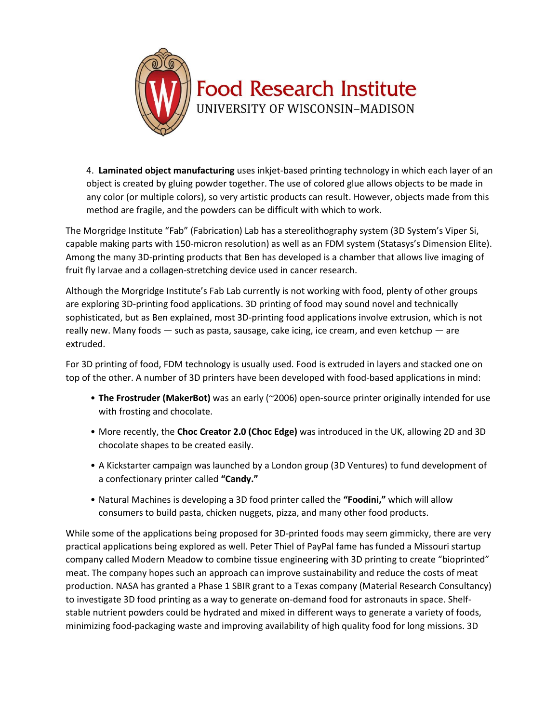

4. **Laminated object manufacturing** uses inkjet-based printing technology in which each layer of an object is created by gluing powder together. The use of colored glue allows objects to be made in any color (or multiple colors), so very artistic products can result. However, objects made from this method are fragile, and the powders can be difficult with which to work.

The Morgridge Institute "Fab" (Fabrication) Lab has a stereolithography system (3D System's Viper Si, capable making parts with 150-micron resolution) as well as an FDM system (Statasys's Dimension Elite). Among the many 3D-printing products that Ben has developed is a chamber that allows live imaging of fruit fly larvae and a collagen-stretching device used in cancer research.

Although the Morgridge Institute's Fab Lab currently is not working with food, plenty of other groups are exploring 3D-printing food applications. 3D printing of food may sound novel and technically sophisticated, but as Ben explained, most 3D-printing food applications involve extrusion, which is not really new. Many foods — such as pasta, sausage, cake icing, ice cream, and even ketchup — are extruded.

For 3D printing of food, FDM technology is usually used. Food is extruded in layers and stacked one on top of the other. A number of 3D printers have been developed with food-based applications in mind:

- **The Frostruder (MakerBot)** was an early (~2006) open-source printer originally intended for use with frosting and chocolate.
- More recently, the **Choc Creator 2.0 (Choc Edge)** was introduced in the UK, allowing 2D and 3D chocolate shapes to be created easily.
- A Kickstarter campaign was launched by a London group (3D Ventures) to fund development of a confectionary printer called **"Candy."**
- Natural Machines is developing a 3D food printer called the **"Foodini,"** which will allow consumers to build pasta, chicken nuggets, pizza, and many other food products.

While some of the applications being proposed for 3D-printed foods may seem gimmicky, there are very practical applications being explored as well. Peter Thiel of PayPal fame has funded a Missouri startup company called Modern Meadow to combine tissue engineering with 3D printing to create "bioprinted" meat. The company hopes such an approach can improve sustainability and reduce the costs of meat production. NASA has granted a Phase 1 SBIR grant to a Texas company (Material Research Consultancy) to investigate 3D food printing as a way to generate on-demand food for astronauts in space. Shelfstable nutrient powders could be hydrated and mixed in different ways to generate a variety of foods, minimizing food-packaging waste and improving availability of high quality food for long missions. 3D